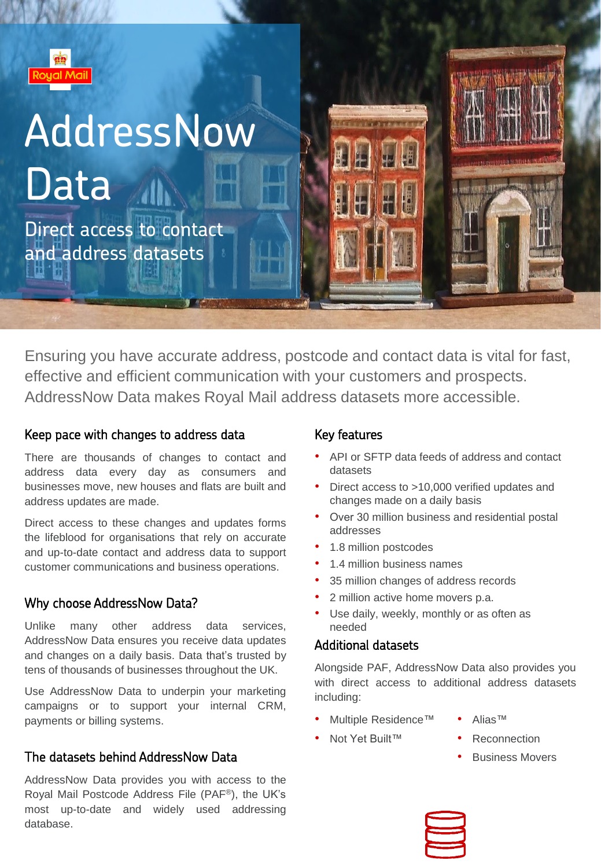

# AddressNow Data 11

Direct access to contact and address datasets

Ensuring you have accurate address, postcode and contact data is vital for fast, effective and efficient communication with your customers and prospects. AddressNow Data makes Royal Mail address datasets more accessible.

#### Keep pace with changes to address data

There are thousands of changes to contact and address data every day as consumers and businesses move, new houses and flats are built and address updates are made.

Direct access to these changes and updates forms the lifeblood for organisations that rely on accurate and up-to-date contact and address data to support customer communications and business operations.

### Why choose AddressNow Data?

Unlike many other address data services, AddressNow Data ensures you receive data updates and changes on a daily basis. Data that's trusted by tens of thousands of businesses throughout the UK.

Use AddressNow Data to underpin your marketing campaigns or to support your internal CRM, payments or billing systems.

#### The datasets behind AddressNow Data

AddressNow Data provides you with access to the Royal Mail Postcode Address File (PAF®), the UK's most up-to-date and widely used addressing database.

### Key features

- API or SFTP data feeds of address and contact datasets
- Direct access to >10,000 verified updates and changes made on a daily basis
- Over 30 million business and residential postal addresses
- 1.8 million postcodes
- 1.4 million business names
- 35 million changes of address records
- 2 million active home movers p.a.
- Use daily, weekly, monthly or as often as needed

### Additional datasets

Alongside PAF, AddressNow Data also provides you with direct access to additional address datasets including:

- Multiple Residence™
- Alias™
- Not Yet Built™
- **Reconnection**
- Business Movers